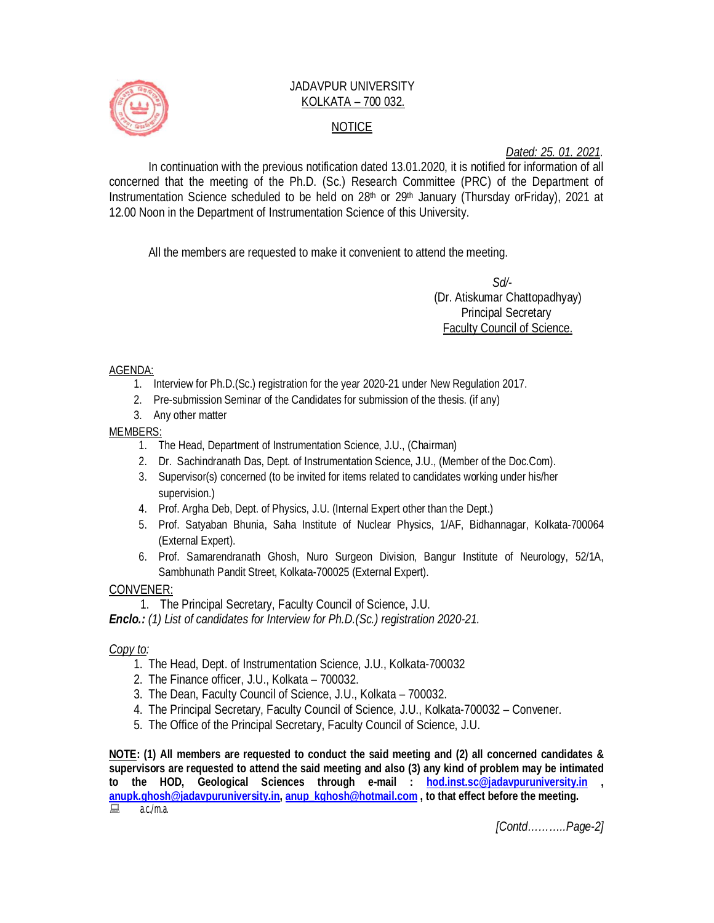

# JADAVPUR UNIVERSITY KOLKATA – 700 032. NOTICE

*Dated: 25. 01. 2021.*

In continuation with the previous notification dated 13.01.2020, it is notified for information of all concerned that the meeting of the Ph.D. (Sc.) Research Committee (PRC) of the Department of Instrumentation Science scheduled to be held on 28<sup>th</sup> or 29<sup>th</sup> January (Thursday orFriday), 2021 at 12.00 Noon in the Department of Instrumentation Science of this University.

All the members are requested to make it convenient to attend the meeting.

 *Sd/-*  (Dr. Atiskumar Chattopadhyay) Principal Secretary Faculty Council of Science.

## AGENDA:

- 1. Interview for Ph.D.(Sc.) registration for the year 2020-21 under New Regulation 2017.
- 2. Pre-submission Seminar of the Candidates for submission of the thesis. (if any)
- 3. Any other matter

## MEMBERS:

- 1. The Head, Department of Instrumentation Science, J.U., (Chairman)
- 2. Dr. Sachindranath Das, Dept. of Instrumentation Science, J.U., (Member of the Doc.Com).
- 3. Supervisor(s) concerned (to be invited for items related to candidates working under his/her supervision.)
- 4. Prof. Argha Deb, Dept. of Physics, J.U. (Internal Expert other than the Dept.)
- 5. Prof. Satyaban Bhunia, Saha Institute of Nuclear Physics, 1/AF, Bidhannagar, Kolkata-700064 (External Expert).
- 6. Prof. Samarendranath Ghosh, Nuro Surgeon Division, Bangur Institute of Neurology, 52/1A, Sambhunath Pandit Street, Kolkata-700025 (External Expert).

## CONVENER:

1. The Principal Secretary, Faculty Council of Science, J.U.

*Enclo.: (1) List of candidates for Interview for Ph.D.(Sc.) registration 2020-21.*

## *Copy to:*

- 1. The Head, Dept. of Instrumentation Science, J.U., Kolkata-700032
- 2. The Finance officer, J.U., Kolkata 700032.
- 3. The Dean, Faculty Council of Science, J.U., Kolkata 700032.
- 4. The Principal Secretary, Faculty Council of Science, J.U., Kolkata-700032 Convener.
- 5. The Office of the Principal Secretary, Faculty Council of Science, J.U.

**NOTE: (1) All members are requested to conduct the said meeting and (2) all concerned candidates & supervisors are requested to attend the said meeting and also (3) any kind of problem may be intimated to the HOD, Geological Sciences through e-mail : hod.inst.sc@jadavpuruniversity.in , anupk.ghosh@jadavpuruniversity.in, anup\_kghosh@hotmail.com , to that effect before the meeting.**  $\Box$  a.c./m.a.